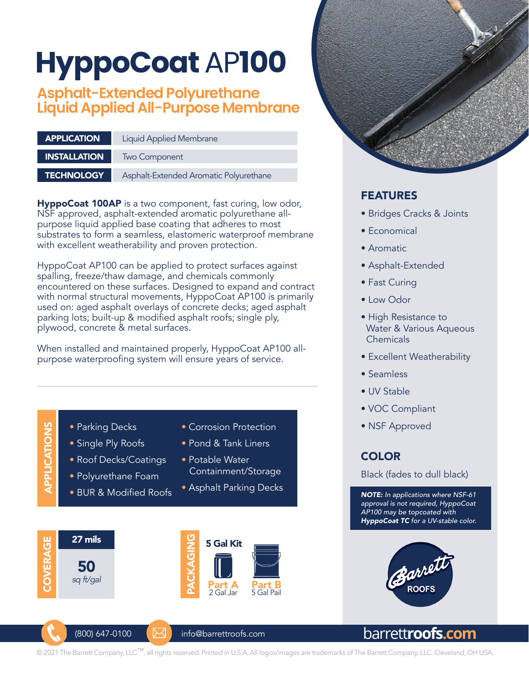# **HyppoCoat** AP**100**

# **Asphalt-Extended Polyurethane Liquid Applied All-Purpose Membrane**

| <b>APPLICATION</b>  | <b>Liquid Applied Membrane</b>         |  |  |
|---------------------|----------------------------------------|--|--|
| <b>INSTALLATION</b> | Two Component                          |  |  |
| <b>TECHNOLOGY</b>   | Asphalt-Extended Aromatic Polyurethane |  |  |

HyppoCoat 100AP is a two component, fast curing, low odor, NSF approved, asphalt-extended aromatic polyurethane allpurpose liquid applied base coating that adheres to most substrates to form a seamless, elastomeric waterproof membrane with excellent weatherability and proven protection.

HyppoCoat AP100 can be applied to protect surfaces against spalling, freeze/thaw damage, and chemicals commonly encountered on these surfaces. Designed to expand and contract with normal structural movements, HyppoCoat AP100 is primarily used on: aged asphalt overlays of concrete decks; aged asphalt parking lots; built-up & modified asphalt roofs; single ply, plywood, concrete & metal surfaces.

When installed and maintained properly, HyppoCoat AP100 allpurpose waterproofing system will ensure years of service.

APPLICATIONS • Parking Decks • Corrosion Protection APPLICATIONS • Single Ply Roofs • Pond & Tank Liners • Roof Decks/Coatings • Potable Water Containment/Storage • Polyurethane Foam • Asphalt Parking Decks • BUR & Modified Roofs 27 mils PACKAGING COVERAGE COVERAGE 5 Gal Kit CKAGIN 50 *sq ft/gal*Part A<br>2 Gal Jar Part B 5 Gal Pail



### FEATURES

- Bridges Cracks & Joints
- Economical
- Aromatic
- Asphalt-Extended
- Fast Curing
- Low Odor
- High Resistance to Water & Various Aqueous Chemicals
- Excellent Weatherability
- Seamless
- UV Stable
- VOC Compliant
- NSF Approved

## **COLOR**

Black (fades to dull black)

*NOTE: In applications where NSF-61 approval is not required, HyppoCoat AP100 may be topcoated with HyppoCoat TC for a UV-stable color.*





 $(800)$  647-0100  $\blacksquare$  info@barrettroofs.com

# barrett**roofs.com**

© 2021 The Barrett Company, LLC™, all rights reserved. Printed in U.S.A. All logos/images are trademarks of The Barrett Company, LLC. Cleveland, OH USA.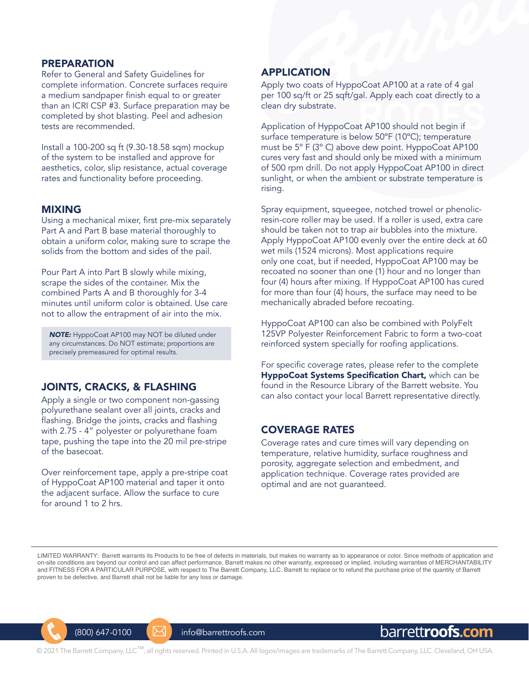#### PREPARATION

Refer to General and Safety Guidelines for complete information. Concrete surfaces require a medium sandpaper finish equal to or greater than an ICRI CSP #3. Surface preparation may be completed by shot blasting. Peel and adhesion tests are recommended.

Install a 100-200 sq ft (9.30-18.58 sqm) mockup of the system to be installed and approve for aesthetics, color, slip resistance, actual coverage rates and functionality before proceeding.

#### MIXING

Using a mechanical mixer, first pre-mix separately Part A and Part B base material thoroughly to obtain a uniform color, making sure to scrape the solids from the bottom and sides of the pail.

Pour Part A into Part B slowly while mixing, scrape the sides of the container. Mix the combined Parts A and B thoroughly for 3-4 minutes until uniform color is obtained. Use care not to allow the entrapment of air into the mix.

*NOTE:* HyppoCoat AP100 may NOT be diluted under any circumstances. Do NOT estimate; proportions are precisely premeasured for optimal results.

#### JOINTS, CRACKS, & FLASHING

Apply a single or two component non-gassing polyurethane sealant over all joints, cracks and flashing. Bridge the joints, cracks and flashing with 2.75 - 4" polyester or polyurethane foam tape, pushing the tape into the 20 mil pre-stripe of the basecoat.

Over reinforcement tape, apply a pre-stripe coat of HyppoCoat AP100 material and taper it onto the adjacent surface. Allow the surface to cure for around 1 to 2 hrs.

#### APPLICATION

Apply two coats of HyppoCoat AP100 at a rate of 4 gal per 100 sq/ft or 25 sqft/gal. Apply each coat directly to a clean dry substrate.

Application of HyppoCoat AP100 should not begin if surface temperature is below 50ºF (10ºC); temperature must be 5º F (3º C) above dew point. HyppoCoat AP100 cures very fast and should only be mixed with a minimum of 500 rpm drill. Do not apply HyppoCoat AP100 in direct sunlight, or when the ambient or substrate temperature is rising.

Spray equipment, squeegee, notched trowel or phenolicresin-core roller may be used. If a roller is used, extra care should be taken not to trap air bubbles into the mixture. Apply HyppoCoat AP100 evenly over the entire deck at 60 wet mils (1524 microns). Most applications require only one coat, but if needed, HyppoCoat AP100 may be recoated no sooner than one (1) hour and no longer than four (4) hours after mixing. If HyppoCoat AP100 has cured for more than four (4) hours, the surface may need to be mechanically abraded before recoating.

HyppoCoat AP100 can also be combined with PolyFelt 125VP Polyester Reinforcement Fabric to form a two-coat reinforced system specially for roofing applications.

For specific coverage rates, please refer to the complete HyppoCoat Systems Specification Chart, which can be found in the Resource Library of the Barrett website. You can also contact your local Barrett representative directly.

#### COVERAGE RATES

Coverage rates and cure times will vary depending on temperature, relative humidity, surface roughness and porosity, aggregate selection and embedment, and application technique. Coverage rates provided are optimal and are not guaranteed.

LIMITED WARRANTY: Barrett warrants its Products to be free of defects in materials, but makes no warranty as to appearance or color. Since methods of application and on-site conditions are beyond our control and can affect performance, Barrett makes no other warranty, expressed or implied, including warranties of MERCHANTABILITY and FITNESS FOR A PARTICULAR PURPOSE, with respect to The Barrett Company, LLC. Barrett to replace or to refund the purchase price of the quantity of Barrett proven to be defective, and Barrett shall not be liable for any loss or damage.



 $(800)$  647-0100  $\sim$   $\sim$  info@barrettroofs.com



© 2021 The Barrett Company, LLC™, all rights reserved. Printed in U.S.A. All logos/images are trademarks of The Barrett Company, LLC. Cleveland, OH USA.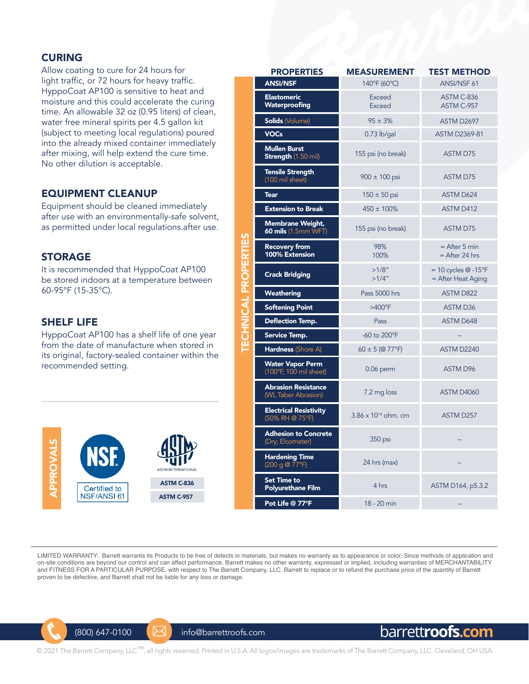#### CURING

Allow coating to cure for 24 hours for light traffic, or 72 hours for heavy traffic. HyppoCoat AP100 is sensitive to heat and moisture and this could accelerate the curing time. An allowable 32 oz (0.95 liters) of clean, water free mineral spirits per 4.5 gallon kit (subject to meeting local regulations) poured into the already mixed container immediately after mixing, will help extend the cure time. No other dilution is acceptable.

#### EQUIPMENT CLEANUP

Equipment should be cleaned immediately after use with an environmentally-safe solvent, as permitted under local regulations.after use.

#### STORAGE

It is recommended that HyppoCoat AP100 be stored indoors at a temperature between 60-95°F (15-35°C).

#### SHELF LIFE

HyppoCoat AP100 has a shelf life of one year from the date of manufacture when stored in its original, factory-sealed container within the recommended setting.



| <b>PROPERTIES</b>                                 | <b>MEASUREMENT</b>            | <b>TEST METHOD</b>                              |  |  |
|---------------------------------------------------|-------------------------------|-------------------------------------------------|--|--|
| <b>ANSI/NSF</b>                                   | 140°F (60°C)                  | ANSI/NSF 61                                     |  |  |
| <b>Elastomeric</b><br>Waterproofing               | <b>Exceed</b><br>Exceed       | ASTM C-836<br>ASTM C-957                        |  |  |
| <b>Solids (Volume)</b>                            | $95 \pm 3%$                   | ASTM D2697                                      |  |  |
| <b>VOCs</b>                                       | $0.73$ lb/gal                 | <b>ASTM D2369-81</b>                            |  |  |
| <b>Mullen Burst</b><br><b>Strength (1.50 mil)</b> | 155 psi (no break)            | <b>ASTM D75</b>                                 |  |  |
| <b>Tensile Strength</b><br>(100 mil sheet)        | $900 \pm 100$ psi             | <b>ASTM D75</b>                                 |  |  |
| <b>Tear</b>                                       | $150 \pm 50$ psi              | <b>ASTM D624</b>                                |  |  |
| <b>Extension to Break</b>                         | $450 \pm 100\%$               | <b>ASTM D412</b>                                |  |  |
| Membrane Weight,<br><b>60 mils</b> (1.5mm WFT)    | 155 psi (no break)            | <b>ASTM D75</b>                                 |  |  |
| <b>Recovery from</b><br>100% Extension            | 98%<br>100%                   | $=$ After 5 min<br>$=$ After 24 hrs             |  |  |
| <b>Crack Bridging</b>                             | >1/8"<br>>1/4"                | $= 10$ cycles $@ - 15$ °F<br>= After Heat Aging |  |  |
| Weathering                                        | Pass 5000 hrs                 | <b>ASTM D822</b>                                |  |  |
| <b>Softening Point</b>                            | $>400^{\circ}$ F              | <b>ASTM D36</b>                                 |  |  |
| Deflection Temp.                                  | Pass                          | ASTM D648                                       |  |  |
| Service Temp.                                     | -60 to 200°F                  |                                                 |  |  |
| Hardness (Shore A)                                | $60 \pm 5$ (@ 77°F)           | ASTM D2240                                      |  |  |
| <b>Water Vapor Perm</b><br>(100°F, 100 mil sheet) | $0.06$ perm                   | <b>ASTM D96</b>                                 |  |  |
| <b>Abrasion Resistance</b><br>(WL Taber Abrasion) | 7.2 mg loss                   | <b>ASTM D4060</b>                               |  |  |
| <b>Electrical Resistivity</b><br>(50% RH @ 75°F)  | $3.86 \times 10^{14}$ ohm. cm | ASTM D257                                       |  |  |
| <b>Adhesion to Concrete</b><br>(Dry; Elcometer)   | 350 psi                       |                                                 |  |  |
| <b>Hardening Time</b><br>(200 g @ 77°F)           | 24 hrs (max)                  |                                                 |  |  |
| Set Time to<br><b>Polyurethane Film</b>           | 4 hrs                         | ASTM D164, p5.3.2                               |  |  |
| Pot Life @ 77°F                                   | 18 - 20 min                   |                                                 |  |  |

LIMITED WARRANTY: Barrett warrants its Products to be free of defects in materials, but makes no warranty as to appearance or color. Since methods of application and on-site conditions are beyond our control and can affect performance, Barrett makes no other warranty, expressed or implied, including warranties of MERCHANTABILITY and FITNESS FOR A PARTICULAR PURPOSE, with respect to The Barrett Company, LLC. Barrett to replace or to refund the purchase price of the quantity of Barrett proven to be defective, and Barrett shall not be liable for any loss or damage.

TECHNICAL PROPERTIES

**TECHNICAL PROPERTIES** 



 $(800)$  647-0100  $\mathbb{M}$  info@barrettroofs.com

## barrett**roofs.com**

© 2021 The Barrett Company, LLC<sup>™</sup>, all rights reserved. Printed in U.S.A. All logos/images are trademarks of The Barrett Company, LLC. Cleveland, OH USA.